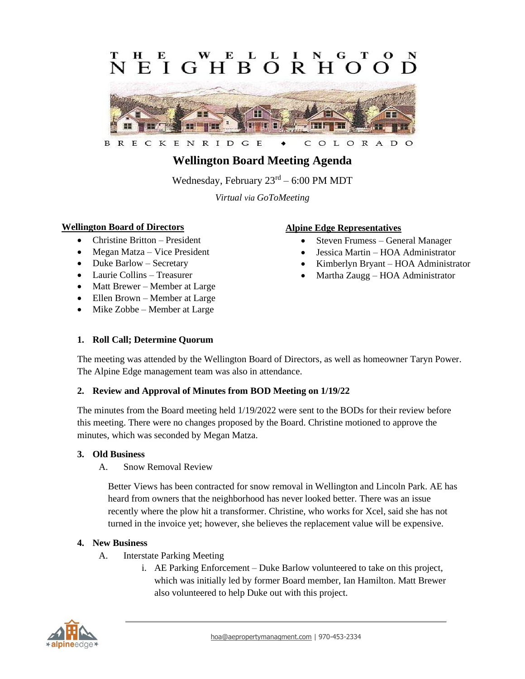#### E E L **GHRORH**  $\mathbf{F}$  $\mathbf{I}$  $\Omega$  $\Omega$



ENRIDG E L O R A D B R E C K C  $\circ$  $\circ$ 

# **Wellington Board Meeting Agenda**

Wednesday, February  $23<sup>rd</sup> - 6:00$  PM MDT

*Virtual via GoToMeeting*

# **Wellington Board of Directors**

- Christine Britton President
- Megan Matza Vice President
- Duke Barlow Secretary
- Laurie Collins Treasurer
- Matt Brewer Member at Large
- Ellen Brown Member at Large
- Mike Zobbe Member at Large

# **Alpine Edge Representatives**

- Steven Frumess General Manager
- Jessica Martin HOA Administrator
- Kimberlyn Bryant HOA Administrator
- Martha Zaugg HOA Administrator

### **1. Roll Call; Determine Quorum**

The meeting was attended by the Wellington Board of Directors, as well as homeowner Taryn Power. The Alpine Edge management team was also in attendance.

#### **2. Review and Approval of Minutes from BOD Meeting on 1/19/22**

The minutes from the Board meeting held 1/19/2022 were sent to the BODs for their review before this meeting. There were no changes proposed by the Board. Christine motioned to approve the minutes, which was seconded by Megan Matza.

#### **3. Old Business**

#### A. Snow Removal Review

Better Views has been contracted for snow removal in Wellington and Lincoln Park. AE has heard from owners that the neighborhood has never looked better. There was an issue recently where the plow hit a transformer. Christine, who works for Xcel, said she has not turned in the invoice yet; however, she believes the replacement value will be expensive.

#### **4. New Business**

- A. Interstate Parking Meeting
	- i. AE Parking Enforcement Duke Barlow volunteered to take on this project, which was initially led by former Board member, Ian Hamilton. Matt Brewer also volunteered to help Duke out with this project.